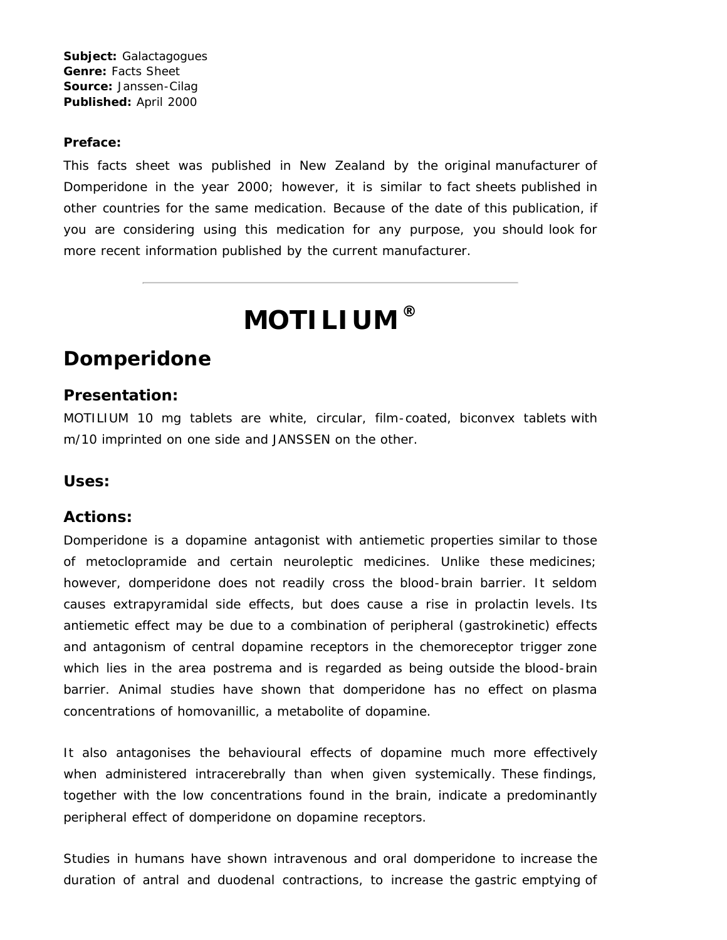**Subject:** Galactagogues **Genre:** Facts Sheet **Source:** Janssen-Cilag **Published:** April 2000

#### **Preface:**

This facts sheet was published in New Zealand by the original manufacturer of Domperidone in the year 2000; however, it is similar to fact sheets published in other countries for the same medication. Because of the date of this publication, if you are considering using this medication for any purpose, you should look for more recent information published by the current manufacturer.

# **MOTILIUM ®**

# **Domperidone**

#### **Presentation:**

MOTILIUM 10 mg tablets are white, circular, film-coated, biconvex tablets with m/10 imprinted on one side and JANSSEN on the other.

#### **Uses:**

#### **Actions:**

Domperidone is a dopamine antagonist with antiemetic properties similar to those of metoclopramide and certain neuroleptic medicines. Unlike these medicines; however, domperidone does not readily cross the blood-brain barrier. It seldom causes extrapyramidal side effects, but does cause a rise in prolactin levels. Its antiemetic effect may be due to a combination of peripheral (gastrokinetic) effects and antagonism of central dopamine receptors in the chemoreceptor trigger zone which lies in the area postrema and is regarded as being outside the blood-brain barrier. Animal studies have shown that domperidone has no effect on plasma concentrations of homovanillic, a metabolite of dopamine.

It also antagonises the behavioural effects of dopamine much more effectively when administered intracerebrally than when given systemically. These findings, together with the low concentrations found in the brain, indicate a predominantly peripheral effect of domperidone on dopamine receptors.

Studies in humans have shown intravenous and oral domperidone to increase the duration of antral and duodenal contractions, to increase the gastric emptying of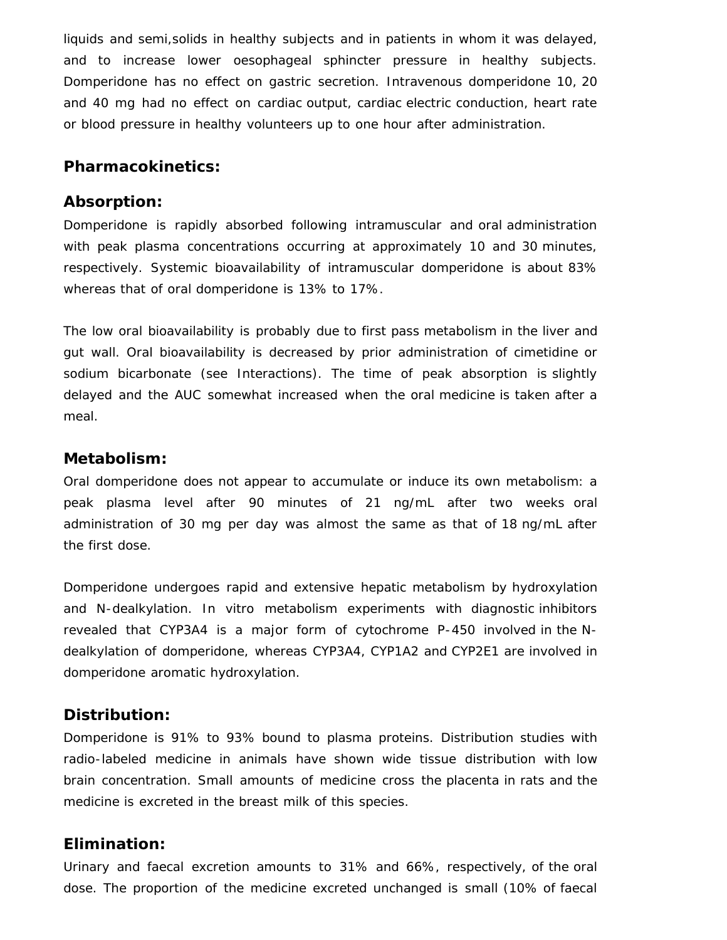liquids and semi,solids in healthy subjects and in patients in whom it was delayed, and to increase lower oesophageal sphincter pressure in healthy subjects. Domperidone has no effect on gastric secretion. Intravenous domperidone 10, 20 and 40 mg had no effect on cardiac output, cardiac electric conduction, heart rate or blood pressure in healthy volunteers up to one hour after administration.

#### **Pharmacokinetics:**

#### **Absorption:**

Domperidone is rapidly absorbed following intramuscular and oral administration with peak plasma concentrations occurring at approximately 10 and 30 minutes, respectively. Systemic bioavailability of intramuscular domperidone is about 83% whereas that of oral domperidone is 13% to 17%.

The low oral bioavailability is probably due to first pass metabolism in the liver and gut wall. Oral bioavailability is decreased by prior administration of cimetidine or sodium bicarbonate (see Interactions). The time of peak absorption is slightly delayed and the AUC somewhat increased when the oral medicine is taken after a meal.

#### **Metabolism:**

Oral domperidone does not appear to accumulate or induce its own metabolism: a peak plasma level after 90 minutes of 21 ng/mL after two weeks oral administration of 30 mg per day was almost the same as that of 18 ng/mL after the first dose.

Domperidone undergoes rapid and extensive hepatic metabolism by hydroxylation and N-dealkylation. In vitro metabolism experiments with diagnostic inhibitors revealed that CYP3A4 is a major form of cytochrome P-450 involved in the Ndealkylation of domperidone, whereas CYP3A4, CYP1A2 and CYP2E1 are involved in domperidone aromatic hydroxylation.

### **Distribution:**

Domperidone is 91% to 93% bound to plasma proteins. Distribution studies with radio-labeled medicine in animals have shown wide tissue distribution with low brain concentration. Small amounts of medicine cross the placenta in rats and the medicine is excreted in the breast milk of this species.

## **Elimination:**

Urinary and faecal excretion amounts to 31% and 66%, respectively, of the oral dose. The proportion of the medicine excreted unchanged is small (10% of faecal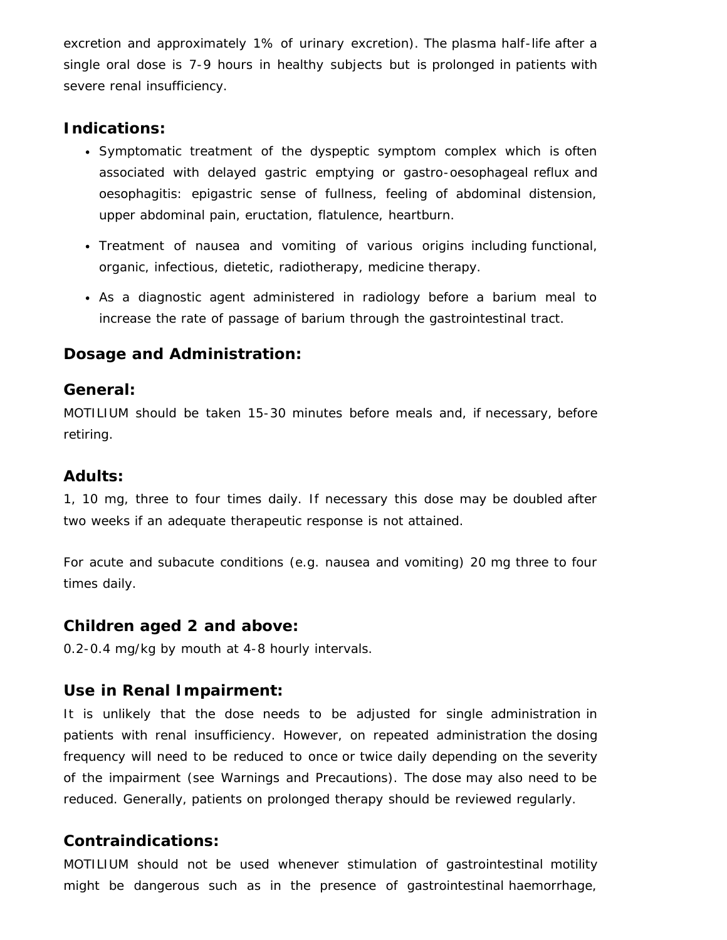excretion and approximately 1% of urinary excretion). The plasma half-life after a single oral dose is 7-9 hours in healthy subjects but is prolonged in patients with severe renal insufficiency.

## **Indications:**

- Symptomatic treatment of the dyspeptic symptom complex which is often associated with delayed gastric emptying or gastro-oesophageal reflux and oesophagitis: epigastric sense of fullness, feeling of abdominal distension, upper abdominal pain, eructation, flatulence, heartburn.
- Treatment of nausea and vomiting of various origins including functional, organic, infectious, dietetic, radiotherapy, medicine therapy.
- As a diagnostic agent administered in radiology before a barium meal to increase the rate of passage of barium through the gastrointestinal tract.

## **Dosage and Administration:**

### **General:**

MOTILIUM should be taken 15-30 minutes before meals and, if necessary, before retiring.

## **Adults:**

1, 10 mg, three to four times daily. If necessary this dose may be doubled after two weeks if an adequate therapeutic response is not attained.

For acute and subacute conditions (e.g. nausea and vomiting) 20 mg three to four times daily.

### **Children aged 2 and above:**

0.2-0.4 mg/kg by mouth at 4-8 hourly intervals.

## **Use in Renal Impairment:**

It is unlikely that the dose needs to be adjusted for single administration in patients with renal insufficiency. However, on repeated administration the dosing frequency will need to be reduced to once or twice daily depending on the severity of the impairment (see Warnings and Precautions). The dose may also need to be reduced. Generally, patients on prolonged therapy should be reviewed regularly.

## **Contraindications:**

MOTILIUM should not be used whenever stimulation of gastrointestinal motility might be dangerous such as in the presence of gastrointestinal haemorrhage,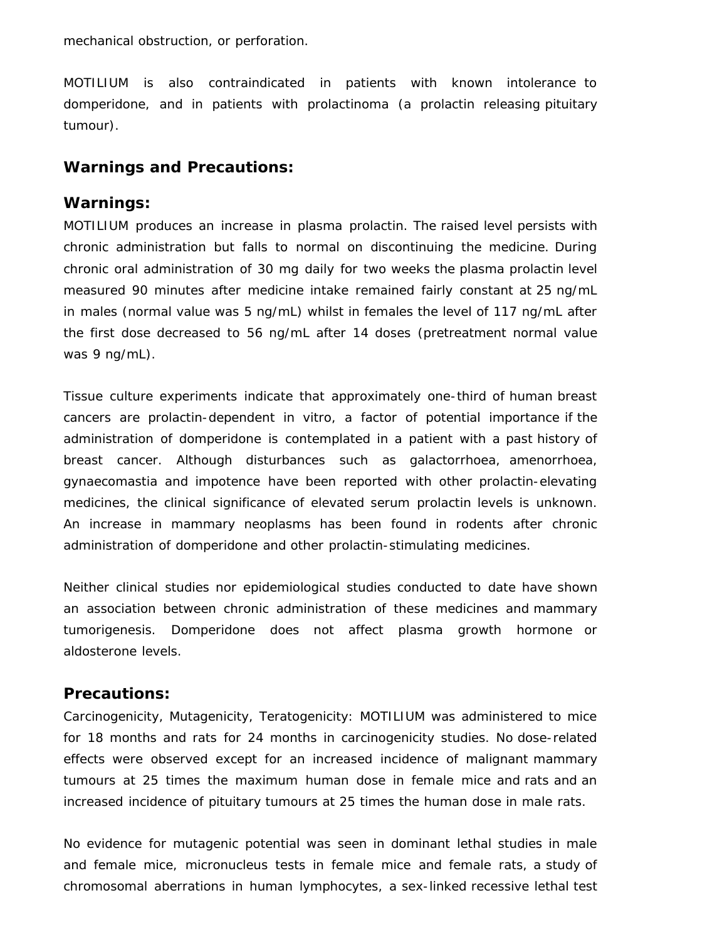mechanical obstruction, or perforation.

MOTILIUM is also contraindicated in patients with known intolerance to domperidone, and in patients with prolactinoma (a prolactin releasing pituitary tumour).

## **Warnings and Precautions:**

#### **Warnings:**

MOTILIUM produces an increase in plasma prolactin. The raised level persists with chronic administration but falls to normal on discontinuing the medicine. During chronic oral administration of 30 mg daily for two weeks the plasma prolactin level measured 90 minutes after medicine intake remained fairly constant at 25 ng/mL in males (normal value was 5 ng/mL) whilst in females the level of 117 ng/mL after the first dose decreased to 56 ng/mL after 14 doses (pretreatment normal value was 9 ng/mL).

Tissue culture experiments indicate that approximately one-third of human breast cancers are prolactin-dependent in vitro, a factor of potential importance if the administration of domperidone is contemplated in a patient with a past history of breast cancer. Although disturbances such as galactorrhoea, amenorrhoea, gynaecomastia and impotence have been reported with other prolactin-elevating medicines, the clinical significance of elevated serum prolactin levels is unknown. An increase in mammary neoplasms has been found in rodents after chronic administration of domperidone and other prolactin-stimulating medicines.

Neither clinical studies nor epidemiological studies conducted to date have shown an association between chronic administration of these medicines and mammary tumorigenesis. Domperidone does not affect plasma growth hormone or aldosterone levels.

### **Precautions:**

Carcinogenicity, Mutagenicity, Teratogenicity: MOTILIUM was administered to mice for 18 months and rats for 24 months in carcinogenicity studies. No dose-related effects were observed except for an increased incidence of malignant mammary tumours at 25 times the maximum human dose in female mice and rats and an increased incidence of pituitary tumours at 25 times the human dose in male rats.

No evidence for mutagenic potential was seen in dominant lethal studies in male and female mice, micronucleus tests in female mice and female rats, a study of chromosomal aberrations in human lymphocytes, a sex-linked recessive lethal test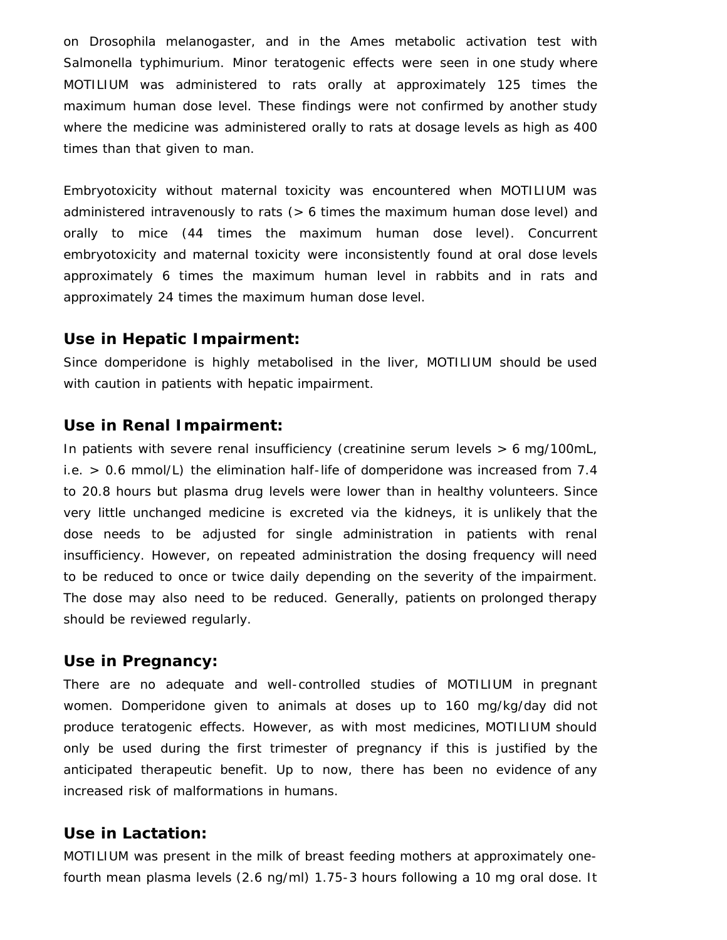on Drosophila melanogaster, and in the Ames metabolic activation test with Salmonella typhimurium. Minor teratogenic effects were seen in one study where MOTILIUM was administered to rats orally at approximately 125 times the maximum human dose level. These findings were not confirmed by another study where the medicine was administered orally to rats at dosage levels as high as 400 times than that given to man.

Embryotoxicity without maternal toxicity was encountered when MOTILIUM was administered intravenously to rats (> 6 times the maximum human dose level) and orally to mice (44 times the maximum human dose level). Concurrent embryotoxicity and maternal toxicity were inconsistently found at oral dose levels approximately 6 times the maximum human level in rabbits and in rats and approximately 24 times the maximum human dose level.

#### **Use in Hepatic Impairment:**

Since domperidone is highly metabolised in the liver, MOTILIUM should be used with caution in patients with hepatic impairment.

#### **Use in Renal Impairment:**

In patients with severe renal insufficiency (creatinine serum levels > 6 mg/100mL, i.e. > 0.6 mmol/L) the elimination half-life of domperidone was increased from 7.4 to 20.8 hours but plasma drug levels were lower than in healthy volunteers. Since very little unchanged medicine is excreted via the kidneys, it is unlikely that the dose needs to be adjusted for single administration in patients with renal insufficiency. However, on repeated administration the dosing frequency will need to be reduced to once or twice daily depending on the severity of the impairment. The dose may also need to be reduced. Generally, patients on prolonged therapy should be reviewed regularly.

#### **Use in Pregnancy:**

There are no adequate and well-controlled studies of MOTILIUM in pregnant women. Domperidone given to animals at doses up to 160 mg/kg/day did not produce teratogenic effects. However, as with most medicines, MOTILIUM should only be used during the first trimester of pregnancy if this is justified by the anticipated therapeutic benefit. Up to now, there has been no evidence of any increased risk of malformations in humans.

#### **Use in Lactation:**

MOTILIUM was present in the milk of breast feeding mothers at approximately onefourth mean plasma levels (2.6 ng/ml) 1.75-3 hours following a 10 mg oral dose. It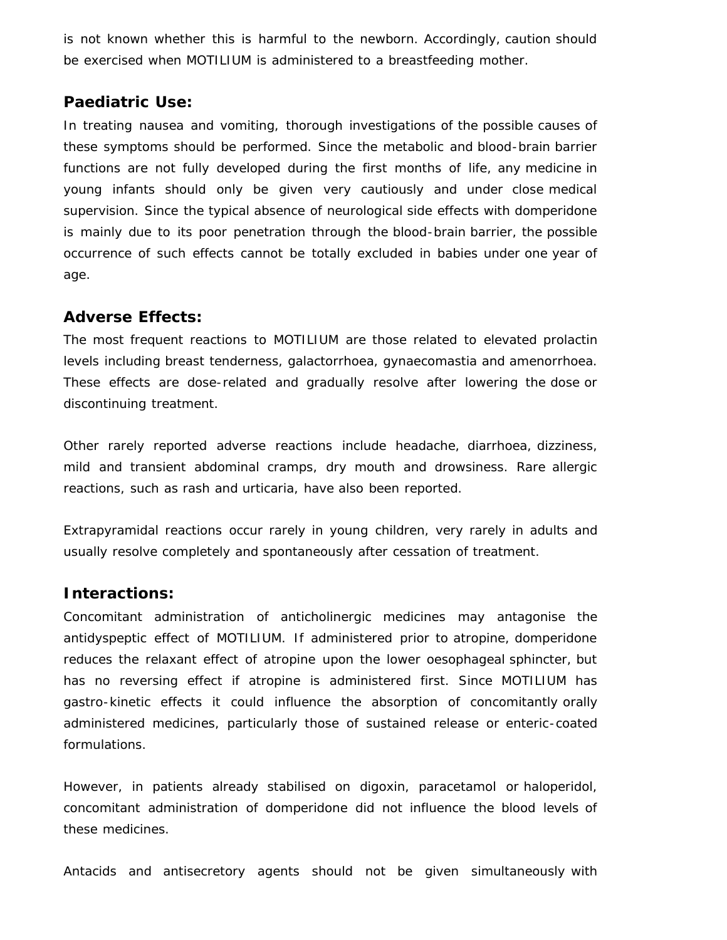is not known whether this is harmful to the newborn. Accordingly, caution should be exercised when MOTILIUM is administered to a breastfeeding mother.

### **Paediatric Use:**

In treating nausea and vomiting, thorough investigations of the possible causes of these symptoms should be performed. Since the metabolic and blood-brain barrier functions are not fully developed during the first months of life, any medicine in young infants should only be given very cautiously and under close medical supervision. Since the typical absence of neurological side effects with domperidone is mainly due to its poor penetration through the blood-brain barrier, the possible occurrence of such effects cannot be totally excluded in babies under one year of age.

## **Adverse Effects:**

The most frequent reactions to MOTILIUM are those related to elevated prolactin levels including breast tenderness, galactorrhoea, gynaecomastia and amenorrhoea. These effects are dose-related and gradually resolve after lowering the dose or discontinuing treatment.

Other rarely reported adverse reactions include headache, diarrhoea, dizziness, mild and transient abdominal cramps, dry mouth and drowsiness. Rare allergic reactions, such as rash and urticaria, have also been reported.

Extrapyramidal reactions occur rarely in young children, very rarely in adults and usually resolve completely and spontaneously after cessation of treatment.

### **Interactions:**

Concomitant administration of anticholinergic medicines may antagonise the antidyspeptic effect of MOTILIUM. If administered prior to atropine, domperidone reduces the relaxant effect of atropine upon the lower oesophageal sphincter, but has no reversing effect if atropine is administered first. Since MOTILIUM has gastro-kinetic effects it could influence the absorption of concomitantly orally administered medicines, particularly those of sustained release or enteric-coated formulations.

However, in patients already stabilised on digoxin, paracetamol or haloperidol, concomitant administration of domperidone did not influence the blood levels of these medicines.

Antacids and antisecretory agents should not be given simultaneously with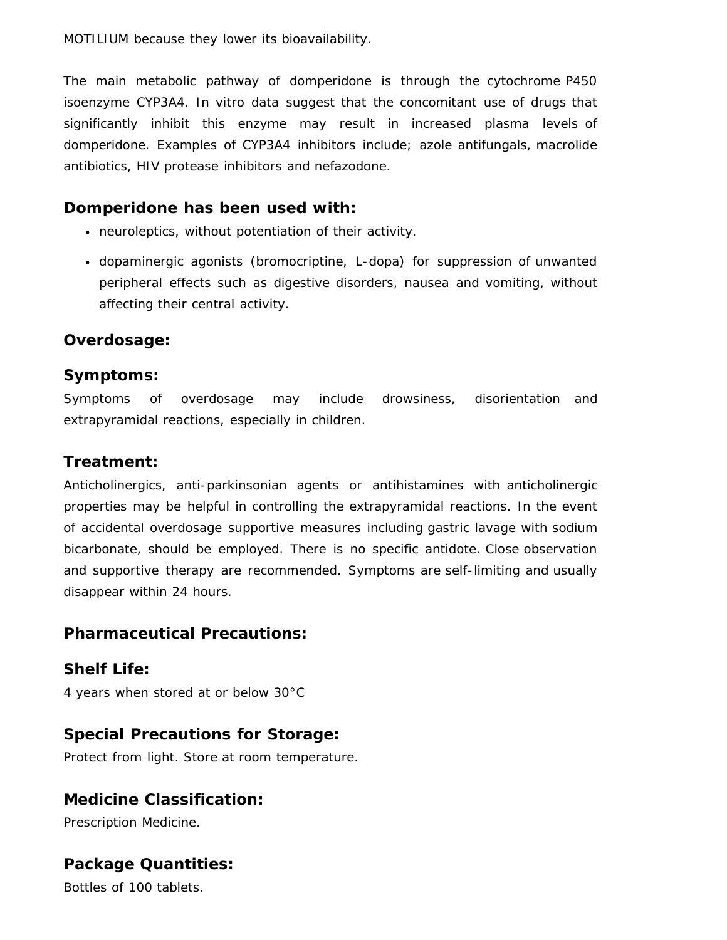The main metabolic pathway of domperidone is through the cytochrome P450 isoenzyme CYP3A4. In vitro data suggest that the concomitant use of drugs that significantly inhibit this enzyme may result in increased plasma levels of domperidone. Examples of CYP3A4 inhibitors include; azole antifungals, macrolide antibiotics, HIV protease inhibitors and nefazodone.

# **Domperidone has been used with:**

- neuroleptics, without potentiation of their activity.
- dopaminergic agonists (bromocriptine, L-dopa) for suppression of unwanted peripheral effects such as digestive disorders, nausea and vomiting, without affecting their central activity.

# **Overdosage:**

## **Symptoms:**

Symptoms of overdosage may include drowsiness, disorientation and extrapyramidal reactions, especially in children.

# **Treatment:**

Anticholinergics, anti-parkinsonian agents or antihistamines with anticholinergic properties may be helpful in controlling the extrapyramidal reactions. In the event of accidental overdosage supportive measures including gastric lavage with sodium bicarbonate, should be employed. There is no specific antidote. Close observation and supportive therapy are recommended. Symptoms are self-limiting and usually disappear within 24 hours.

# **Pharmaceutical Precautions:**

**Shelf Life:** 4 years when stored at or below 30°C

# **Special Precautions for Storage:**

Protect from light. Store at room temperature.

# **Medicine Classification:**

Prescription Medicine.

# **Package Quantities:**

Bottles of 100 tablets.